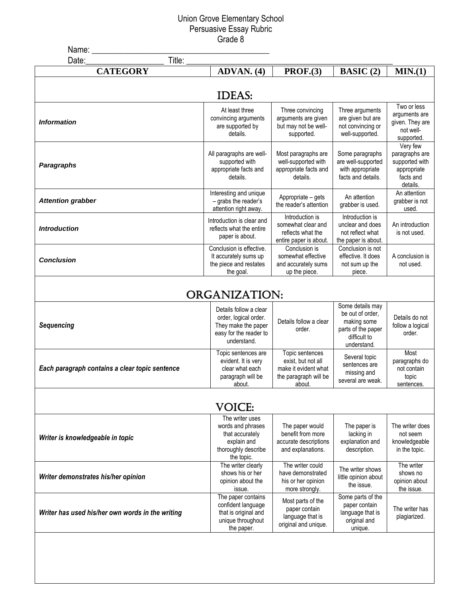## Union Grove Elementary School Persuasive Essay Rubric Grade 8

| ADVAN. (4)                | PROF.(3)                                                                                                                                                                                                                                                                                                                                                                                                                                                                                                                                                                                       | BASIC (2)                                                                                                                                                                                                                                                                                                                                                                                                                                                                                                                                                                             | MIN.(1)                                                                                                                                                                                                                                                                                                                                                                                                                                               |
|---------------------------|------------------------------------------------------------------------------------------------------------------------------------------------------------------------------------------------------------------------------------------------------------------------------------------------------------------------------------------------------------------------------------------------------------------------------------------------------------------------------------------------------------------------------------------------------------------------------------------------|---------------------------------------------------------------------------------------------------------------------------------------------------------------------------------------------------------------------------------------------------------------------------------------------------------------------------------------------------------------------------------------------------------------------------------------------------------------------------------------------------------------------------------------------------------------------------------------|-------------------------------------------------------------------------------------------------------------------------------------------------------------------------------------------------------------------------------------------------------------------------------------------------------------------------------------------------------------------------------------------------------------------------------------------------------|
|                           |                                                                                                                                                                                                                                                                                                                                                                                                                                                                                                                                                                                                |                                                                                                                                                                                                                                                                                                                                                                                                                                                                                                                                                                                       |                                                                                                                                                                                                                                                                                                                                                                                                                                                       |
|                           |                                                                                                                                                                                                                                                                                                                                                                                                                                                                                                                                                                                                |                                                                                                                                                                                                                                                                                                                                                                                                                                                                                                                                                                                       |                                                                                                                                                                                                                                                                                                                                                                                                                                                       |
| At least three            | Three convincing                                                                                                                                                                                                                                                                                                                                                                                                                                                                                                                                                                               | Three arguments                                                                                                                                                                                                                                                                                                                                                                                                                                                                                                                                                                       | Two or less<br>arguments are                                                                                                                                                                                                                                                                                                                                                                                                                          |
|                           |                                                                                                                                                                                                                                                                                                                                                                                                                                                                                                                                                                                                |                                                                                                                                                                                                                                                                                                                                                                                                                                                                                                                                                                                       | given. They are                                                                                                                                                                                                                                                                                                                                                                                                                                       |
|                           |                                                                                                                                                                                                                                                                                                                                                                                                                                                                                                                                                                                                |                                                                                                                                                                                                                                                                                                                                                                                                                                                                                                                                                                                       | not well-                                                                                                                                                                                                                                                                                                                                                                                                                                             |
|                           |                                                                                                                                                                                                                                                                                                                                                                                                                                                                                                                                                                                                |                                                                                                                                                                                                                                                                                                                                                                                                                                                                                                                                                                                       | supported.<br>Very few                                                                                                                                                                                                                                                                                                                                                                                                                                |
|                           |                                                                                                                                                                                                                                                                                                                                                                                                                                                                                                                                                                                                |                                                                                                                                                                                                                                                                                                                                                                                                                                                                                                                                                                                       | paragraphs are                                                                                                                                                                                                                                                                                                                                                                                                                                        |
| supported with            | well-supported with                                                                                                                                                                                                                                                                                                                                                                                                                                                                                                                                                                            | are well-supported                                                                                                                                                                                                                                                                                                                                                                                                                                                                                                                                                                    | supported with                                                                                                                                                                                                                                                                                                                                                                                                                                        |
| appropriate facts and     | appropriate facts and                                                                                                                                                                                                                                                                                                                                                                                                                                                                                                                                                                          | with appropriate                                                                                                                                                                                                                                                                                                                                                                                                                                                                                                                                                                      | appropriate                                                                                                                                                                                                                                                                                                                                                                                                                                           |
|                           |                                                                                                                                                                                                                                                                                                                                                                                                                                                                                                                                                                                                |                                                                                                                                                                                                                                                                                                                                                                                                                                                                                                                                                                                       | facts and                                                                                                                                                                                                                                                                                                                                                                                                                                             |
|                           |                                                                                                                                                                                                                                                                                                                                                                                                                                                                                                                                                                                                |                                                                                                                                                                                                                                                                                                                                                                                                                                                                                                                                                                                       | details.<br>An attention                                                                                                                                                                                                                                                                                                                                                                                                                              |
|                           |                                                                                                                                                                                                                                                                                                                                                                                                                                                                                                                                                                                                |                                                                                                                                                                                                                                                                                                                                                                                                                                                                                                                                                                                       | grabber is not                                                                                                                                                                                                                                                                                                                                                                                                                                        |
| attention right away.     |                                                                                                                                                                                                                                                                                                                                                                                                                                                                                                                                                                                                |                                                                                                                                                                                                                                                                                                                                                                                                                                                                                                                                                                                       | used.                                                                                                                                                                                                                                                                                                                                                                                                                                                 |
| Introduction is clear and |                                                                                                                                                                                                                                                                                                                                                                                                                                                                                                                                                                                                |                                                                                                                                                                                                                                                                                                                                                                                                                                                                                                                                                                                       | An introduction                                                                                                                                                                                                                                                                                                                                                                                                                                       |
| reflects what the entire  |                                                                                                                                                                                                                                                                                                                                                                                                                                                                                                                                                                                                |                                                                                                                                                                                                                                                                                                                                                                                                                                                                                                                                                                                       | is not used.                                                                                                                                                                                                                                                                                                                                                                                                                                          |
|                           |                                                                                                                                                                                                                                                                                                                                                                                                                                                                                                                                                                                                |                                                                                                                                                                                                                                                                                                                                                                                                                                                                                                                                                                                       |                                                                                                                                                                                                                                                                                                                                                                                                                                                       |
| Conclusion is effective.  | Conclusion is                                                                                                                                                                                                                                                                                                                                                                                                                                                                                                                                                                                  | Conclusion is not                                                                                                                                                                                                                                                                                                                                                                                                                                                                                                                                                                     |                                                                                                                                                                                                                                                                                                                                                                                                                                                       |
|                           |                                                                                                                                                                                                                                                                                                                                                                                                                                                                                                                                                                                                |                                                                                                                                                                                                                                                                                                                                                                                                                                                                                                                                                                                       | A conclusion is                                                                                                                                                                                                                                                                                                                                                                                                                                       |
|                           |                                                                                                                                                                                                                                                                                                                                                                                                                                                                                                                                                                                                |                                                                                                                                                                                                                                                                                                                                                                                                                                                                                                                                                                                       | not used.                                                                                                                                                                                                                                                                                                                                                                                                                                             |
|                           |                                                                                                                                                                                                                                                                                                                                                                                                                                                                                                                                                                                                |                                                                                                                                                                                                                                                                                                                                                                                                                                                                                                                                                                                       |                                                                                                                                                                                                                                                                                                                                                                                                                                                       |
|                           |                                                                                                                                                                                                                                                                                                                                                                                                                                                                                                                                                                                                |                                                                                                                                                                                                                                                                                                                                                                                                                                                                                                                                                                                       |                                                                                                                                                                                                                                                                                                                                                                                                                                                       |
|                           |                                                                                                                                                                                                                                                                                                                                                                                                                                                                                                                                                                                                |                                                                                                                                                                                                                                                                                                                                                                                                                                                                                                                                                                                       |                                                                                                                                                                                                                                                                                                                                                                                                                                                       |
| Details follow a clear    |                                                                                                                                                                                                                                                                                                                                                                                                                                                                                                                                                                                                |                                                                                                                                                                                                                                                                                                                                                                                                                                                                                                                                                                                       |                                                                                                                                                                                                                                                                                                                                                                                                                                                       |
|                           |                                                                                                                                                                                                                                                                                                                                                                                                                                                                                                                                                                                                |                                                                                                                                                                                                                                                                                                                                                                                                                                                                                                                                                                                       | Details do not                                                                                                                                                                                                                                                                                                                                                                                                                                        |
|                           | order.                                                                                                                                                                                                                                                                                                                                                                                                                                                                                                                                                                                         | parts of the paper                                                                                                                                                                                                                                                                                                                                                                                                                                                                                                                                                                    | follow a logical<br>order.                                                                                                                                                                                                                                                                                                                                                                                                                            |
| understand.               |                                                                                                                                                                                                                                                                                                                                                                                                                                                                                                                                                                                                | difficult to                                                                                                                                                                                                                                                                                                                                                                                                                                                                                                                                                                          |                                                                                                                                                                                                                                                                                                                                                                                                                                                       |
|                           |                                                                                                                                                                                                                                                                                                                                                                                                                                                                                                                                                                                                |                                                                                                                                                                                                                                                                                                                                                                                                                                                                                                                                                                                       | Most                                                                                                                                                                                                                                                                                                                                                                                                                                                  |
|                           |                                                                                                                                                                                                                                                                                                                                                                                                                                                                                                                                                                                                | Several topic                                                                                                                                                                                                                                                                                                                                                                                                                                                                                                                                                                         | paragraphs do                                                                                                                                                                                                                                                                                                                                                                                                                                         |
| clear what each           | make it evident what                                                                                                                                                                                                                                                                                                                                                                                                                                                                                                                                                                           |                                                                                                                                                                                                                                                                                                                                                                                                                                                                                                                                                                                       | not contain                                                                                                                                                                                                                                                                                                                                                                                                                                           |
|                           |                                                                                                                                                                                                                                                                                                                                                                                                                                                                                                                                                                                                | several are weak.                                                                                                                                                                                                                                                                                                                                                                                                                                                                                                                                                                     | topic                                                                                                                                                                                                                                                                                                                                                                                                                                                 |
|                           |                                                                                                                                                                                                                                                                                                                                                                                                                                                                                                                                                                                                |                                                                                                                                                                                                                                                                                                                                                                                                                                                                                                                                                                                       | sentences.                                                                                                                                                                                                                                                                                                                                                                                                                                            |
|                           |                                                                                                                                                                                                                                                                                                                                                                                                                                                                                                                                                                                                |                                                                                                                                                                                                                                                                                                                                                                                                                                                                                                                                                                                       |                                                                                                                                                                                                                                                                                                                                                                                                                                                       |
|                           |                                                                                                                                                                                                                                                                                                                                                                                                                                                                                                                                                                                                |                                                                                                                                                                                                                                                                                                                                                                                                                                                                                                                                                                                       |                                                                                                                                                                                                                                                                                                                                                                                                                                                       |
| The writer uses           |                                                                                                                                                                                                                                                                                                                                                                                                                                                                                                                                                                                                |                                                                                                                                                                                                                                                                                                                                                                                                                                                                                                                                                                                       |                                                                                                                                                                                                                                                                                                                                                                                                                                                       |
|                           |                                                                                                                                                                                                                                                                                                                                                                                                                                                                                                                                                                                                |                                                                                                                                                                                                                                                                                                                                                                                                                                                                                                                                                                                       | The writer does<br>not seem                                                                                                                                                                                                                                                                                                                                                                                                                           |
|                           |                                                                                                                                                                                                                                                                                                                                                                                                                                                                                                                                                                                                |                                                                                                                                                                                                                                                                                                                                                                                                                                                                                                                                                                                       | knowledgeable                                                                                                                                                                                                                                                                                                                                                                                                                                         |
| thoroughly describe       | and explanations.                                                                                                                                                                                                                                                                                                                                                                                                                                                                                                                                                                              | description.                                                                                                                                                                                                                                                                                                                                                                                                                                                                                                                                                                          | in the topic.                                                                                                                                                                                                                                                                                                                                                                                                                                         |
| the topic.                |                                                                                                                                                                                                                                                                                                                                                                                                                                                                                                                                                                                                |                                                                                                                                                                                                                                                                                                                                                                                                                                                                                                                                                                                       |                                                                                                                                                                                                                                                                                                                                                                                                                                                       |
|                           |                                                                                                                                                                                                                                                                                                                                                                                                                                                                                                                                                                                                | The writer shows                                                                                                                                                                                                                                                                                                                                                                                                                                                                                                                                                                      | The writer                                                                                                                                                                                                                                                                                                                                                                                                                                            |
|                           |                                                                                                                                                                                                                                                                                                                                                                                                                                                                                                                                                                                                | little opinion about                                                                                                                                                                                                                                                                                                                                                                                                                                                                                                                                                                  | shows no<br>opinion about                                                                                                                                                                                                                                                                                                                                                                                                                             |
| issue.                    | more strongly.                                                                                                                                                                                                                                                                                                                                                                                                                                                                                                                                                                                 | the issue.                                                                                                                                                                                                                                                                                                                                                                                                                                                                                                                                                                            | the issue.                                                                                                                                                                                                                                                                                                                                                                                                                                            |
| The paper contains        |                                                                                                                                                                                                                                                                                                                                                                                                                                                                                                                                                                                                | Some parts of the                                                                                                                                                                                                                                                                                                                                                                                                                                                                                                                                                                     |                                                                                                                                                                                                                                                                                                                                                                                                                                                       |
|                           | paper contain                                                                                                                                                                                                                                                                                                                                                                                                                                                                                                                                                                                  | paper contain                                                                                                                                                                                                                                                                                                                                                                                                                                                                                                                                                                         | The writer has                                                                                                                                                                                                                                                                                                                                                                                                                                        |
| unique throughout         | language that is                                                                                                                                                                                                                                                                                                                                                                                                                                                                                                                                                                               | original and                                                                                                                                                                                                                                                                                                                                                                                                                                                                                                                                                                          | plagiarized.                                                                                                                                                                                                                                                                                                                                                                                                                                          |
|                           | original and unique.                                                                                                                                                                                                                                                                                                                                                                                                                                                                                                                                                                           |                                                                                                                                                                                                                                                                                                                                                                                                                                                                                                                                                                                       |                                                                                                                                                                                                                                                                                                                                                                                                                                                       |
|                           | <b>IDEAS:</b><br>convincing arguments<br>are supported by<br>details.<br>All paragraphs are well-<br>details.<br>Interesting and unique<br>- grabs the reader's<br>paper is about.<br>It accurately sums up<br>the piece and restates<br>the goal.<br>order, logical order.<br>They make the paper<br>easy for the reader to<br>Topic sentences are<br>evident. It is very<br>paragraph will be<br>about.<br><b>VOICE:</b><br>words and phrases<br>that accurately<br>explain and<br>The writer clearly<br>shows his or her<br>opinion about the<br>confident language<br>that is original and | arguments are given<br>but may not be well-<br>supported.<br>Most paragraphs are<br>details.<br>Appropriate - gets<br>the reader's attention<br>Introduction is<br>somewhat clear and<br>reflects what the<br>entire paper is about.<br>somewhat effective<br>and accurately sums<br>up the piece.<br><b>ORGANIZATION:</b><br>Details follow a clear<br>Topic sentences<br>exist, but not all<br>the paragraph will be<br>about.<br>The paper would<br>benefit from more<br>accurate descriptions<br>The writer could<br>have demonstrated<br>his or her opinion<br>Most parts of the | are given but are<br>not convincing or<br>well-supported.<br>Some paragraphs<br>facts and details.<br>An attention<br>grabber is used.<br>Introduction is<br>unclear and does<br>not reflect what<br>the paper is about.<br>effective. It does<br>not sum up the<br>piece.<br>Some details may<br>be out of order,<br>making some<br>understand.<br>sentences are<br>missing and<br>The paper is<br>lacking in<br>explanation and<br>language that is |